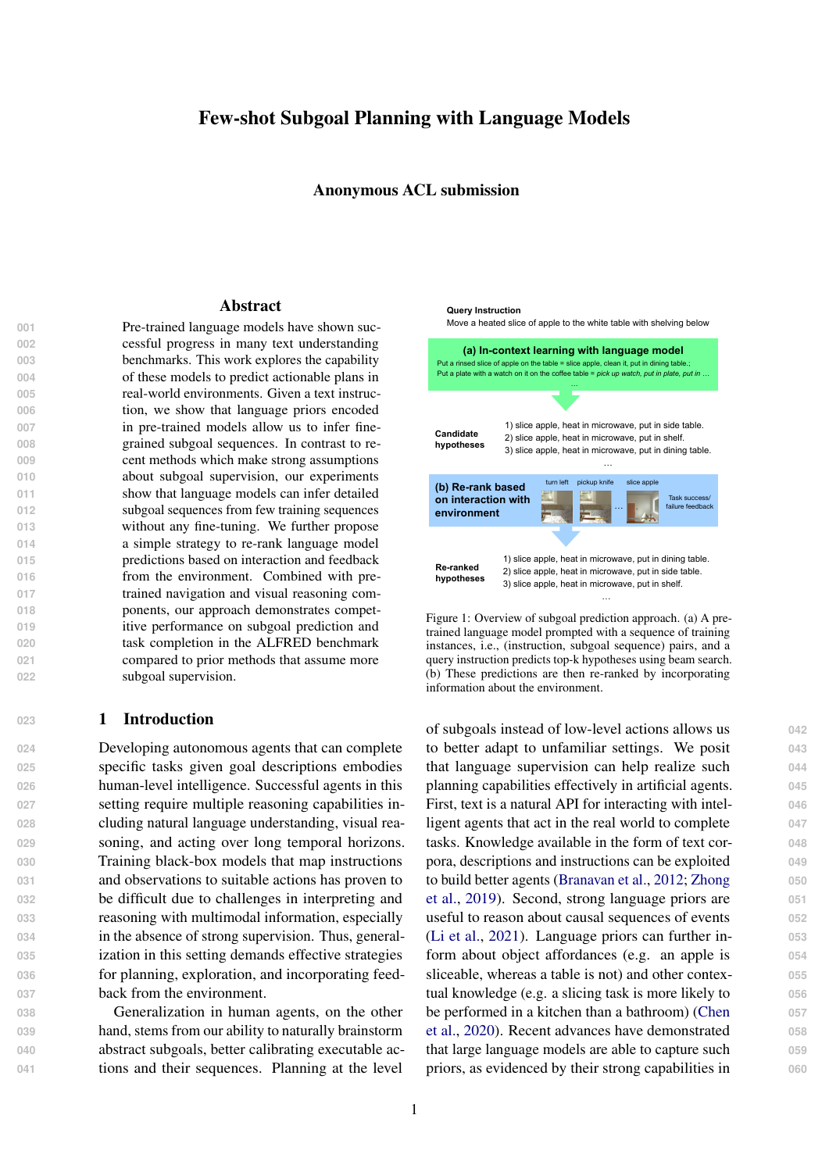# Few-shot Subgoal Planning with Language Models

Anonymous ACL submission

#### Abstract

 Pre-trained language models have shown suc- cessful progress in many text understanding benchmarks. This work explores the capability of these models to predict actionable plans in real-world environments. Given a text instruc- tion, we show that language priors encoded in pre-trained models allow us to infer fine- grained subgoal sequences. In contrast to re- cent methods which make strong assumptions about subgoal supervision, our experiments **Show that language models can infer detailed**  subgoal sequences from few training sequences without any fine-tuning. We further propose a simple strategy to re-rank language model **predictions based on interaction and feedback**  from the environment. Combined with pre- trained navigation and visual reasoning com- ponents, our approach demonstrates compet- itive performance on subgoal prediction and task completion in the ALFRED benchmark compared to prior methods that assume more subgoal supervision.

### **<sup>023</sup>** 1 Introduction

 Developing autonomous agents that can complete specific tasks given goal descriptions embodies human-level intelligence. Successful agents in this setting require multiple reasoning capabilities in- cluding natural language understanding, visual rea- soning, and acting over long temporal horizons. Training black-box models that map instructions and observations to suitable actions has proven to be difficult due to challenges in interpreting and reasoning with multimodal information, especially in the absence of strong supervision. Thus, general- ization in this setting demands effective strategies **for planning, exploration, and incorporating feed-**back from the environment.

 Generalization in human agents, on the other hand, stems from our ability to naturally brainstorm abstract subgoals, better calibrating executable ac-tions and their sequences. Planning at the level

<span id="page-0-0"></span>

Figure 1: Overview of subgoal prediction approach. (a) A pretrained language model prompted with a sequence of training instances, i.e., (instruction, subgoal sequence) pairs, and a query instruction predicts top-k hypotheses using beam search. (b) These predictions are then re-ranked by incorporating information about the environment.

of subgoals instead of low-level actions allows us **042** to better adapt to unfamiliar settings. We posit **043** that language supervision can help realize such **044** planning capabilities effectively in artificial agents. **045** First, text is a natural API for interacting with intel- **046** ligent agents that act in the real world to complete **047** tasks. Knowledge available in the form of text cor- **048** pora, descriptions and instructions can be exploited **049** [t](#page-9-0)o build better agents (Branavan et al., 2012; [Zhong](#page-9-0) **050** [et al.,](#page-9-0) [2019\)](#page-9-0). Second, strong language priors are **051** useful to reason about causal sequences of events **052** (Li et al., 2021). Language priors can further in- **053** form about object affordances (e.g. an apple is **054** sliceable, whereas a table is not) and other contex- **055** tual knowledge (e.g. a slicing task is more likely to **056** be performed in a kitchen than a bathroom) (Chen **057** et al., 2020). Recent advances have demonstrated **058** that large language models are able to capture such **059** priors, as evidenced by their strong capabilities in **060**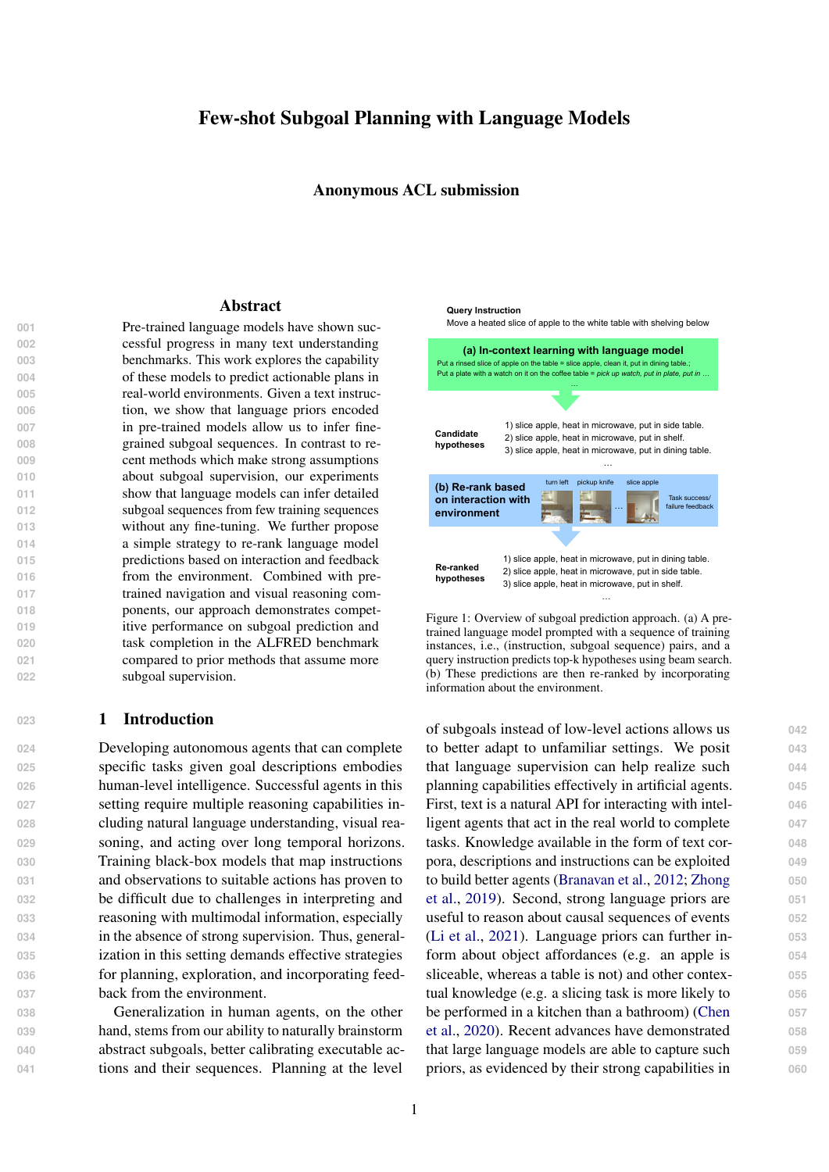language understanding and beyond (Devlin et al., 2018; [Radford et al.,](#page-8-0) [2019;](#page-8-0) Brown et al., 2020; Bommasani et al., 2021). This leads to the natu- ral question of whether priors learned by language models can help reason about subgoals.

 We study the ability of language models to rea- son about plans composed of a sequence of inter- mediate goals for completing basic object manipu- lation tasks in a household environment specified using text instructions. In particular, we use the *in-context learning* ability (Brown et al., 2020) of large pre-trained language models to reason about subgoals. In contrast to prior methods that fine- tune language models to predict subgoals/actions (Jansen, 2020; [Yao et al.,](#page-9-1) [2020\)](#page-9-1), we show that they can predict subgoal sequences effectively with- out any fine-tuning. We teach the model how in- structions translate into subgoal sequences by con- structing a prompt using few examples. Given the prompt and a query instruction the language model predicts likely subgoal sequences (see Figure [1](#page-0-0) for an illustration).

 While language models are capable of generat- ing strong hypotheses, we observe that these predic- tions may not be directly usable by agents acting in 086 real environments. First, they suffer from calibra- tion issues: Language models have a tendency to repeat content from the prompt [\(Zhao et al.,](#page-9-2) [2021\)](#page-9-2). We show that mutual-information inspired metrics help mitigate calibration issues and lead to better ranking of model generated hypotheses.

 Second, real-world agents have to update their beliefs and predictions based on interaction and feedback from the environment. Without such feed- back we cannot expect the predicted plan to be executable in the environment. We execute plans proposed by the language model in the environ- ment using a pre-trained low-level policy and col- lect feedback about task success/failure. We use this feedback as a learning signal to train a ranking model that re-ranks language model predictions. In contrast to prior methods that rely on strong sub- goal supervision and task level expert trajectories, we show that combining subgoal predictions with a pre-trained subgoal execution policy leads to a strong embodied agent baseline.

**107** We make the following contributions in this **108** work. We show that

**109** • Large language models can predict subgoals from **110** text instructions with very little supervision (e.g. **111** 10 training examples) using in-context learning.

- Incorporating a small amount of feedback from **112** interaction with the environment such as agent **113** state and task success/failure outcome improves **114** language model predictions.
- Combining predicted subgoals with a pre-trained **116** low-level policy for navigation and visual reason- **117** ing leads to a simple modular agent policy that **118** performs well on an embodied learning setting. **119**

### 2 Related work **<sup>120</sup>**

Language models for planning and interaction **121** The use of language models for planning and action **122** prediction has been explored in prior work. Jansen **123** (2020) fine-tuned a language model to predict sub- **124** goal sequences for text instructions from the AL- **125** FRED benchmark. Micheli and Fleuret (2021) take **126** a similar approach, but show that imitation learn- **127** ing with few instances combined with reinforce- **128** ment learning produces models that work well on **129** the ALFWorld benchmark [\(Shridhar et al.,](#page-9-3) [2020b\)](#page-9-3). **130** [Yao et al.](#page-9-1) [\(2020\)](#page-9-1) demonstrate a similar approach 131 for interactive fiction games (Hausknecht et al., **132** 2020). In contrast to these prior methods, our ap- **133** proach does not assume strong supervision and **134** we demonstrate generalization with limited train- **135** ing examples. Furthermore, in order to exploit the **136** generalization capabilities of large language mod- **137** els, we do not fine-tune these models and instead **138** use their in-context learning ability. Finally, our **139** approach allows us to build policies that inherit **140** the strong generalization capabilities of these large **141** pre-trained models such as compositional general- **142** ization. **143**

Large language models and few-shot learning **144** Brown et al. (2020) showed that pre-trained large 145 language models have few-shot learning capabil- **146** ities. Given a few examples  $f(x_i; y_i = f(x_i))g$  147 that define a task f such as classification or trans- **148** lation and a query instance  $x^q$ , *prompting* a language model with a string such as  $x_1 = y_1$ ;  $x_2 = 150$  $y_2$ ; :::;  $x_n = y_n$ ;  $x^q =$ " leads to meaningful completions by the language model  $y^q$   $f(x^q)$ . This 152 few-shot learning capability of language models **153** has since then been studied and improved upon 154 [w](#page-9-4)ith approaches like prefix engineering [\(Schick](#page-9-4) **155** [and Schütze,](#page-9-4) [2020\)](#page-9-4), prompt tuning (Li and Liang, **156** 2021), model calibration [\(Zhao et al.,](#page-9-2) [2021\)](#page-9-2) and **157** other methods (Min et al., 2021a). We adopt a **158** similar approach for few-shot subgoal inference. **159** We assume that subgoal supervision is available 160 for a small number of training tasks and use the **161** language model to infer subgoals for unseen tasks. 162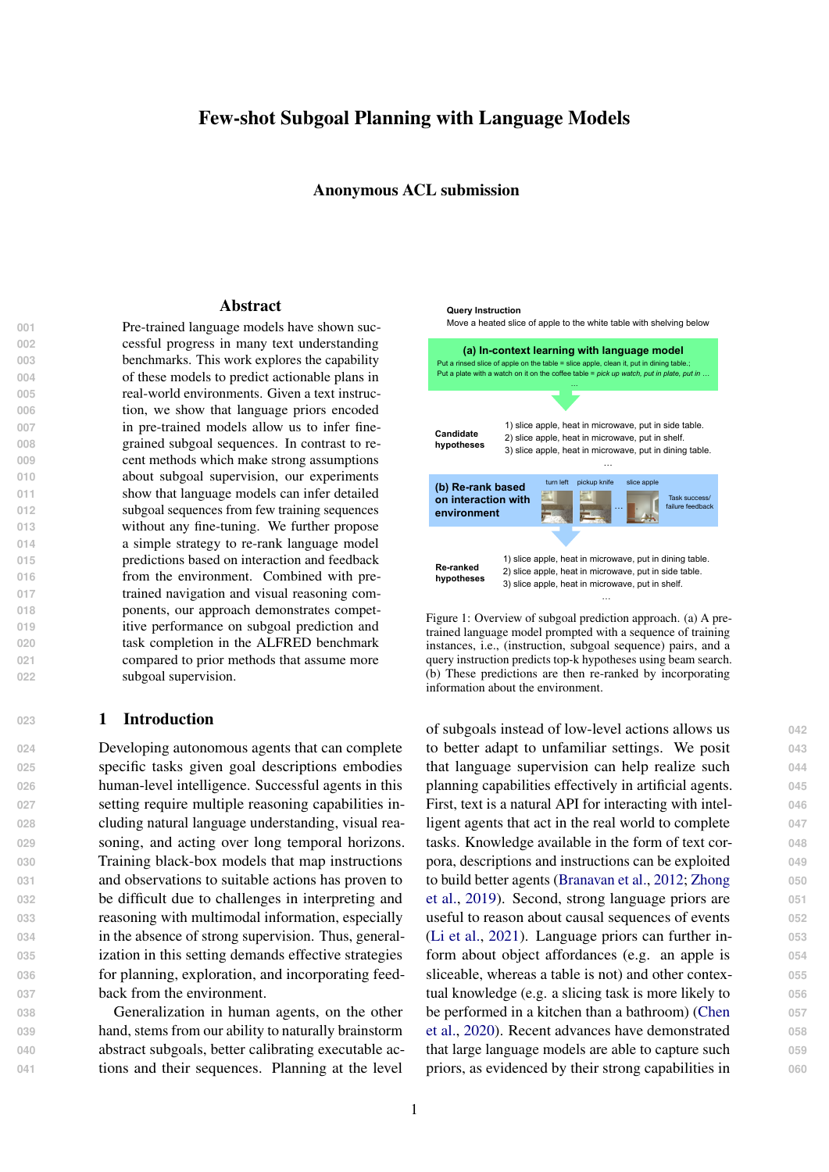163 **Instruction following There is rich literature on 3.1 Few-shot subgoal inference Property 211** 164 **agents that follow language instructions (Mei et alSubgoals We are interested in a particular sub-** 212 165 (2016); Fried et al. (2017); [Suhr et](#page-9-5) al. [\(20](#page-9-5)19) der 166 **alia<sup>1</sup>). Recent developments in simulated environvolve performing a sequence of object interac-** 214 167 **ments and benchmarks with human annotated inions in an embodied environment. Each object** 215 168 structions have driven progress in embodied agentisteraction requires navigating to a particular ob-<br>216 169 that learn from text instruction[s \(Shridhar et](#page-9-6) al., ject and performing an action on it. A task is 217 170 [2020a](#page-9-6); Kolve et al., 2017). Successful agents inconsidered successfully completed if the state of 218 171 these settings require multiple reasoning capabilibigects in the end satisfy a set of task-speci-172 ties including language understanding, visual reæonstraints (for instance, objects that need to be 220 173 soning and learning to act over long time-horizonssliced/warmed/cooled/cleaned have the appropriate 221 174 Compared to the sequence to sequence model origtate change). It is thus natural to de ne a subgoal 222 175 **inally proposed in [Shridhar et a](#page-9-6)l. [\(202](#page-9-6)0a), subseas one or more sequence of object interactions. A** 223 176 **quent approaches have made progress by exploiting boalg is speci-ed asg = (b; o) 2 B O where** 224 177 subgoal supervision, pre-trained visual reasoning 2 B = {Pickup, Clean, Heat, ..} is one of a pre- 225 178 components and pre-trained transformer modelde ned set of abstract actions and  $O = \{Apple,$ 179 [\(Singh et al](#page-9-7)., [202](#page-9-7)0; [Suglia et a](#page-9-8)l., [20](#page-9-8)21; [Zhang](#page-9-9) and Microwave, DeskLamp, Ottoman, ..} is an object 227 180 Chai, 2021; Corona et al., 2020; Blukis et al., 2021) category. class of instruction following problems which in- 213 219 category. **228** 

181 **Unlike these methods, we do not assume access to** 182 strong subgoal supervision or task level expert surion  $\sim$ , subgoal inference seeks to predict a se-183 pervision. We combine language model prediction  $S_{\text{quence}}$  of subgoals 7!  $g = (g^{(1)}; ..., g^{(n)})$ . To 231 184 with pre-trained low-level navigation and interac-perform in-context learning with a language model, 232 185 tion policies to obtain a competitive agent policy. We consider a representation of g that looks 233 **Subgoal inference problem Given a text instruc-** 229

186 **Few-shot semantic parsing Subgoal inference** 187 from text instructions can be considered a semannapping. Such representations have been referred 235 188 tic parsing problem where the subgoal sequences in the literature as verbalizers (Min et al., 2021a),  $236$ 189 serves as a formal representation of text. Shin et antermediate representations (Herzig et al., 2021) 237 190 (2021) show that few-shot semantic parsers cannel canonical representations (Shin et al., 2021), 238 191 be derived from language models and demonstrat the purpose is to represent the output in a 239 192 their applicability on text-to-SQL (Finegan-Dollak format the language model understands. In a slight 240 193 et al., 2018) and SCAN (Lake and Baroni, 2018) abuse of notation, we will use to refer to either a 241 194 benchmarks. Furrer et al. (2020) and Herzig et a pubgoal sequence or it's textual representation  $242$ 195 (2021) further study the compositional generaliza<sup>depending</sup> on the context. like natural text, where is a pre-de ned invertible  $234$ 

196 **tion ability of such semantic parsers. In our workGenerating subgoals We assume that a small** 244 197 **we make use of ideas introduced in these workamount of training data( 1; g<sub>1</sub>);**  $\qquad$ **; ( <sub>n</sub>; g<sub>n</sub>)g is 245** 198 **such as dynamic prompt creation, constrained deiven. The language model is prompted with a** 246 199 coding and intermediate representations. comma separated concatenation of the training ex- 247

# <sup>200</sup> 3 Approach

amples, each in the format<sub>i</sub>''=  $q_i$ ", followed by 248 a query, formatted as  $" = "$ . We assume that the  $249$ probability of a hypothesib (i.e., text representa- 250

 $201$  We rst consider subgoal inference as a semantic on of a subgoal sequence) can be modeled as in  $251$ 202 parsing problem where a text instruction needs to equation (1), where is thei<sup>th</sup> token ofh and the 252 203 be translated to a sequence of subgoals and propose en probabilities are derived from the language 253 204 **an approach to few-shot subgoal inference based odel.** 205 on pre-trained language models in Section 3.1. We  $\frac{1}{2}$ model.  $\frac{254}{2}$ Y

i

 extend this setting to an agent acting in a simulated environment which can execute these subgoals, ob- serve feedback, and improve upon language model p(hj ) =

209 predictions for more accurate subgoal inference in 210 Section 3.2. We use beam search to identify the top-k hypothe-  $256$ 

ses according to(hi). Generated hypotheses are  $257$ constrained to be valid representations of subgoal 258 sequences by considering only tokens which lead 259

 $p_{LM}(h_ijh_{*i}*; ; f<sub>j</sub>; g<sub>j</sub> g<sub>j=1</sub><sup>n</sup>)$  (1) 255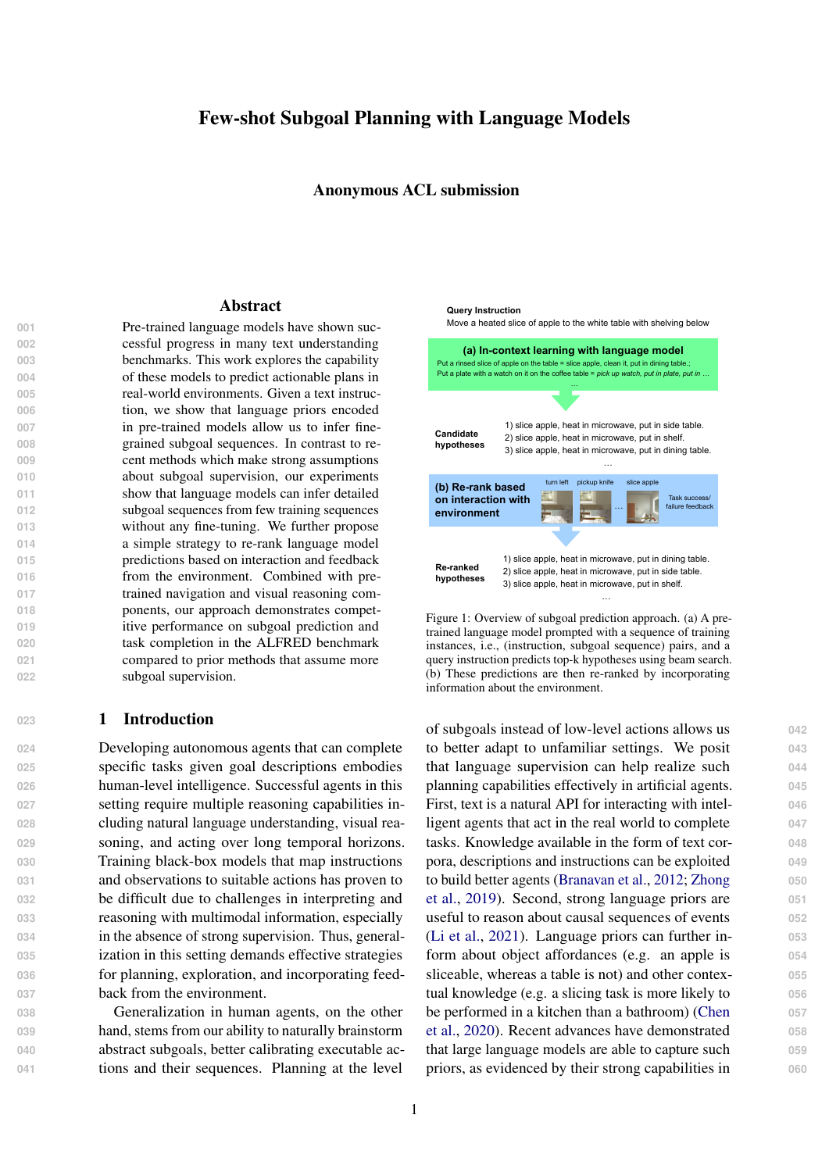Figure 2: Re-ranking language model predictions with interaction and feedback from the environment. Given the task, language model predictions, completed subgoals and the agent state we come up with a ranked list of subgoal sequences. The agent then executes the next subgoal from the highest ranked plan. The completed subgoal is added to the partial plan and the process continues until stop subgoal is encountered. During training the agent receives a positive reward if the task is successfully completed, which we use as supervision to train the ranking model.

260 to a valid partial pre x of a subgoal sequence atstructions. While Section 3.1 treated the language 297 261 each step of beam search. 262 Re-ranking predictions Recent studies have 263 **found that language models have popularity and on and feedback from the environment. We thus** 300 264 **recency biases: the tendency to repeat content men-operate a method to improve language model pre-** 301 265 tioned in the prompt, especially content appearing dictions based on environment interaction. Since 302 266 later in the prompt (Zhao et al., 2021). They consid<sup>our</sup> goal is to learn the planning component of the 303 267 ered a simple approach to mitigate such biases in agent, we assume a pre-trained low-level policy 304  $268$  model predictions for classi-cation tasks by com- $\frac{1}{18}$  provided and optimize over the space of plans.  $305$ 269 **paring the likelihood of an output label with and Jointly learning both components is beyond the** 306 270 without the query. In contrast to this `direct model'<sup>Scope</sup> of this work and left as future work. 307 271 which models the probability of a label given the input p(yjx), Min et al. (2021a) showed that a `chan-states is available. The state representation cap-<br>272  $273$  nel model' which model $\phi(x|y)$  leads to better, 274 more stable models. model as a knowledge extraction system, in the real 298 world plans need to be updated based on interac-<br>299 We assume that a representation of the agent 308 tures information about the environment (e.g. ob-<br>310 jects present and their locations) estimated based 311

 $275$  Inspired by these observations, we propose to the agent's visual observations. As the agent  $312$ 276 use p( jh) to score hypotheses in addition to 277 p(hj ). Mutual Information based ranking metrics  $278$  are a natural candidate and they have been explored ming that a low-level policy  $L$  pre-trained to  $315$ 279 **in the text generation literature (Li et al., 2015; Li** and Transition generation more than  $\frac{1}{2}$  or en,  $\frac{1}{2}$  or  $\frac{1}{2}$ ,  $\frac{1}{2}$  is to train a high-level policy  $\frac{1}{2}$  which proposes  $\frac{317}{2}$  $281$  ses from the model using (hj) and the generated  $282$  hypotheses are re-scored using the weighted mutual  $\frac{1}{2}$ . More formally, the high-level policy models  $319$ 283 **information metriq1** )log p(hj) + log p( jh) where is a hyperparameter (Appendix A details  $s_t$  is the state representation  $\arg(\mathbf{d}^{t})$  is the se-  $321$  $285$  the connection to Mutual Information). To compute quence of subgoals completed so far at high-level  $322$  $286$  p( jh), we again use the language model prompted  $\frac{1}{100}$ explores the environment and collects new obser-<br>313 vations the state representation is updated. As-<br>314 execute a given subgoglis provided, our goal 316 the subgoals to be executed by the low-level pol- $318$  $H_H(g^{(t)}j; s_t; g^{( where is a text instruction,  $\hspace{1cm}$  320$ (t) . 323

287 with " $g_1 = 1$ ; :::;  $g_n = n$ ; h = " as the query and 288 compute the conditional probability of. We ex-289 **pect this paradigm of generating a set of strong hyaccount information about the environment. For** 326 290 potheses, followed by accurate re-ranking is more instance, knowledge about the type of room the 327 291 generally applicable to other few-shot language dent is in (kitchen, bathroom, etc.) and the ob-<br>291 292 understanding problems. While the language model can generate com-<br>324 pelling subgoal hypotheses, it doesn't take into 325 jects present in it are useful to infer the kind of 329

293 3.2 Agent policy and incorporating 294 environment feedback

tasks and subgoals that can be performed. We 330 propose to re-rank hypotheses generated by the 331 language model based on information from the en-<br>332

295 We next consider building an agent that acts in  $\bar{a}$  alternatively, this can be framed as a POMDP in a hierar-296 visual environment to complete tasks given text inchical reinforcement learning setting.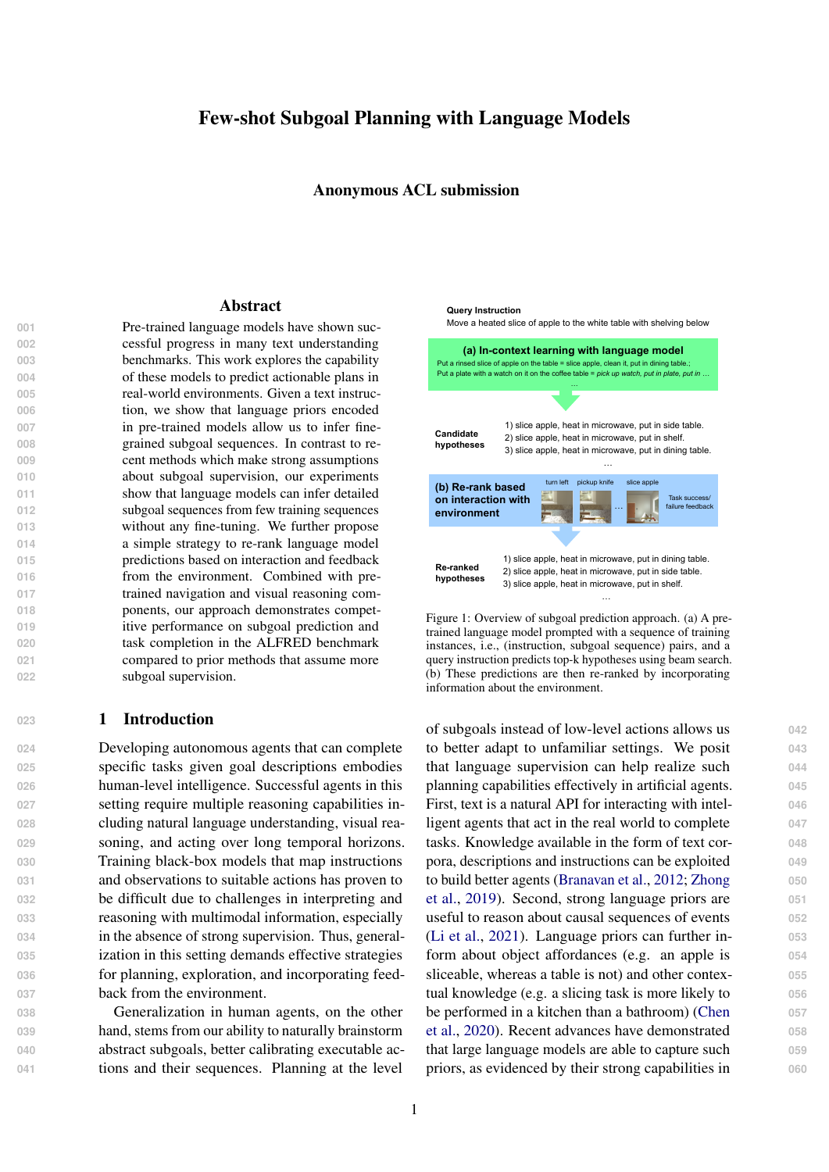- $333$  vironment to construct  $H$ . The plans generated 334 by the language model are executed in the envi-335 **ronment using L. The success/failure outcom** 336 **of these plan executions are used to construct and the set of these plan executions are used to construct** 337 **labeled dataset of instructions plansg and ager** 338 **states. A supervised ranking model(g; ; s; )** 339 **is trained using this data to re-rank the language** 340 **model predictions. We represent the ranking m** Task GPT2-XL GPT-J top-1 top-10 top-1 top-10
- $\begin{array}{ccc} \text{as } f\left( g;\ ; s;\ \right) \; = \; & \text{Concat}(f^\text{ stat}(s); f^\text{ text}(\ ; g)) \end{array}$ 342 **wheref states is a state embedding, text(; g) is** 343 a joint encoding of and g produced by a text 344 encoder and is a parameter vector. Although

| าes<br>look at obj in light        | 1.06  | 67.02 | 11.70 | 63.83 |
|------------------------------------|-------|-------|-------|-------|
| UCt apick and place simple         | 24.19 | 63.71 | 59.86 | 80.99 |
| pick two obj and place<br>١t       | 24.19 | 63.71 | 50.81 | 79.03 |
| pick heat then place               | 47.66 | 83.18 | 54.21 | 85.05 |
| pick cool then place               | 33.33 | 80.16 | 53.97 | 83.33 |
| Jage pick clean then place         | 25.89 | 56.25 | 40.18 | 70.54 |
| odel <sup>pick</sup> place movable | 13.91 | 27.83 | 16.52 | 46.09 |
| Overall                            | 28.17 | 63.66 | 42.56 | 73.29 |
|                                    |       |       |       |       |

Table 1: Top-k recall for subgoal sequences predicted by GPT2-XL and GPT-J models categorized by task type.

 $\frac{345}{345}$  a text embedding can be derived from the lan-subgoals are suf-cient for an agent to successfully  $\frac{384}{384}$ Encode the complete the task of the task. Second, predicting navigation assets a guage model, we use a BERT encoder in favoromplete the task. Second, predicting navigation 347 of obtaining a smaller dimensional representation upgoals from the text instruction alone may not al-<br>347  $\frac{348}{348}$  (f text = BERT<sub>CLS</sub>). The state and text embed-lowers be possible as they often depend on the scene 349 **dings are held xed and only is trained. See** layout. **388** 

350 Appendix C for more details. 351 **During inference, an instructionis given, and ied as**  $g^s = (b; 0)$  **2 B O where jBj = 7 390** 352 we use the procedure in Section 3.1 to generatend jOj = 80. We de ne a textual representa-<br>391 353 top-k hypotheses. At each step, hypotheses incotion v(b) of each action type (e.gv(Pickup)= 392 354 sistent with the sequence of subgoals executed spick up', v(Heat)= `heat in'). The object types 393 355 far are pruned and the remaining hypotheses areare identi ed by a text string(o) in the dataset 394 356 **re-ranked based on the current agent state usingnd we directly use them as the text representa-** 395 357 **f. The agent attempts the next subgoal proposetion with minimal pre-processing (e.g(apple)=** 396 358 by the top hypothesis. The process ends when thepple', v(desklamp)= `desk lamp'). The sub- 397 359 stop subgoal is predicted. See Figure 2 for an illusgoal is represented  $\text{a}(\text{g}^s) = \text{v}(b) \text{ v}(o)'$  (e.g. 398 360 **tration and Appendix D for more details about thev((Pickup, apple))= `pick up apple'). A sub-<br>399** 361 **training and inference algorithms.** Subgoal representation A subgoalg<sup>s</sup> is spec-<br>389 goal sequenc $g = (g^{(1)}; ...; g^{(n)})$  is represented  $400$  $\text{as}\,\mathsf{v}(\mathsf{g}) = \mathsf{v}(\mathsf{g}^{(1)}),\,...,\mathsf{v}(\mathsf{g}^{(n)})$ .'. Text representa- 401

# 362 4 Experiments

# 363 4.1 Data

tions of all subgoals are given in Appendix B. Note  $402$ that there are many plausible choices for the repre-<br>403

364 We use data from the ALFRED benchmark pro-sentation and a different set of choices can lead 404 365 posed by Shridhar et al. (2020a) in our experiments o different results. to different results. And the state of  $405$ 

366 The ALFRED task requires an agent to execute 367 instructions speci-ed in text to accomplish basic ity of language models to generate plans from in-168 tasks in an embodied environment. A given task is the language measure to generate plane from the language to the truth plans. described using a high-level language directive as In addition, we also evaluate the performance of an 409 well as low-level step-by-step instructions (We only make the all the AI2-Thor (Kolve et al., 2017) 410<br>All the AI2-Thor (Kolve et al., 2017) 410 use the high-level description). The dataset con-gone complete tasks using a strong contains  $201$  sists of 7 task types, and has more than 20k natural (the percentage of tasks successfully completed). 412 **language task descriptions collected from human annotators. In addition, expert demonstrations com 4.2 Few-shot subgoal inference 413 puted by a planner are also made available. Taskive construct a training set using = 10 randomly** 414 **require acting over many time-steps, with an avehosen instances from the training set. The lan-** 415 **erage of 50 actions, and the longest tasks requirguage model is prompted with a concatenation of 416 100+ steps. The ground truth subgoal sequences in thoerform constrained beam search decoding with a** 418 Metrics We usetop-k recallto evaluate the abil- $406$ these training examples and the query instance. We  $417$ 

**dataset consist of both navigation subgoals and obeam size of 10 to generate subgoal sequences. At 419 ject interaction subgoals. We discard the navigatioreach step of beam search, only tokens which lead** 420 382 subgoals and only retain the interaction subgoalto a valid partial pre x of a subgoal sequence are 421 **for the following reasons. First, the interaction considered. All model generated hypotheses thus** 422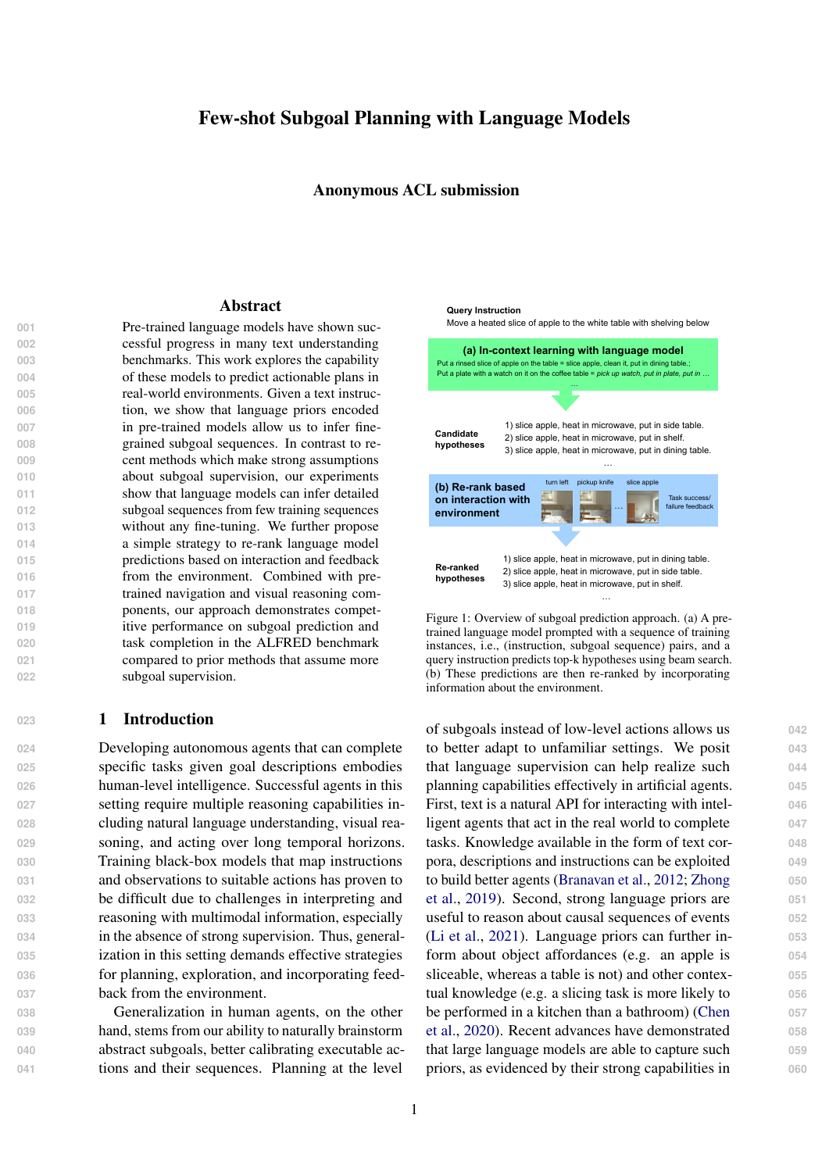| Ranking criteria                                 | GPT2-XL | GPT-J |
|--------------------------------------------------|---------|-------|
| log p(hj)                                        | 28.17   | 42.56 |
| $log p($ jh)                                     | 40.98   | 48.41 |
| $\frac{1}{2}$ log p(hj) + $\frac{1}{2}$ logp(jh) | 46.10   | 55.49 |

Table 2: Top-1 recall after re-ranking model generated top-10 hypotheses using different criteria.

| Model                                     | Top-1<br>recall                 | Training data                                                     |
|-------------------------------------------|---------------------------------|-------------------------------------------------------------------|
| <b>Jansen (2020)</b><br>(Fine-tuned GPT2) | 5.07<br>41.92<br>53.80<br>61.00 | 77 (ne-tune)<br>779 (ne-tune)<br>1948 (ne-tune)<br>7793 (ne-tune) |
| Ours (GPT-J)                              | 54.34                           | 10 (in-context)                                                   |

| Obj category | Confusion categories                      |
|--------------|-------------------------------------------|
| wateringcan  | pencil, kettle                            |
| glassbottle  | vase                                      |
| cart         | shelf, sidetable, microwave, cart, fridge |
| butterknife  | knife, butterknife                        |
| oorlamp      | desklamp, oorlamp                         |
| vase         | pencil, vase, bowl, winebottle, pot       |
| ladle        | spoon, ladle                              |
| pot          | pot, pan                                  |
| soapbottle   | soapbottle, winebottle                    |

Table 4: Object categories the model makes most errors on and the top object categories it confuses with.

The incorrect hypotheses involving sink is now  $457$ ranked below the correct hypothesis involving ta- 458

Table 3: Comparison against subgoal prediction performancele. While language models can retrieve strong and the of Jansen (2020). hypotheses as indicated by the high top-10 recall,  $460$ 

this observation shows that the ranking of these  $461$ 

**correspond to valid subgoal sequences. We evallypotheses, as determined by hj ), may not be** 462 **uate models on the valid-seen split of the dataset courate. We thus consider mutual information** 463 which has 800 instances. based ranking approaches. Table 2 shows top-1 re- 464

426 Table 1 shows subgoal inference results cateall when model generated hypotheses are ranked 465 **gorized by task type. We use publicly availableaccording to different criteria. We rst observepre-trained transformer language models GPT2-XLthatp( jh) ranks hypotheses more accurately than(Radford et al., 2019) and GPT-J (Wang and Komat (hj). Second, combining the two log probabil-suzaki, 2021) via the HuggingFace library (Wolf ities with**  $=$   $\frac{1}{2}$  et al., 2020), which respectively have 1.5B and 6Bthat generating a large number of hypotheses with **parameters, in our experiments. The rst six of thea language model, followed by more accurate re-seven task types have two object arguments eadanking using Mutual Information inspired metrics** The pick place movable task type has three objectan be an effective paradigm for few-shot genera- **arguments and hence a lower recall than the otheron tasks with in-context learning. ATA** task types. The top-10 recall of GPT2-XL and GPT- $\frac{1}{2}$  yields better scores. This shows

437 **J** are respectively 64% and 73%, which shows tha fomparison with prior work We compare our 475  $438$  large language models have strong ability to reasoprediction performance against prior work in Ta-  $476$ 439 **about plans from few training examples.** ble 3. Jansen (2020) ne-tunes a GPT2-Medium  $477$ **model (325M parameters) to predict subgoals from** 478

 Re-ranking hypotheses The top-k recall perfor-441 mance reported in Table 1 are based on p(hg). We con rmed that the biases reported in the liter-data: 1%, 10%, 25%, 100% of the training set,  $481$ 443 ature such as predicting content from the prompt hich has 7793 instances. We ignore the naviga-<br>482 **are present in model predictions (Zhao et al., 2021)** ion subgoals in this evaluation and only compare 483 Consider the query example achilled mar-**tini glass with a fork on it on the table. When the prompt contains training examples that mention of GPT-J using our approach on the same test set.** 486 sink', the model assigns the following loging  $\phi$ **to these hypotheses.** 

- 450 pick up fork, put in cup, put in sink. -2.4
- 451 pick up fork, put in cup, put in table. -4.3

452 When all training instances in the prompt involv-454 become, more supervision is available due to the xed con-<br>491

- 455 pick up fork, put in cup, put in sink. -13.7
- 456 pick up fork, put in cup, put in table. -9.1

<sup>152</sup> ing sink are removed, the log probabilities now text length limitation of in-context learning. See 492 Section 5 for ablations and more discussion about 493 ne-tuning. And the set of the set of the set of the set of the set of the set of the set of the set of the set o

instructions and report prediction results are the  $479$ **model is trained on varying amounts of training** 480

the sequence of object interactions to perform a fair 484 comparison. We also report prediction performance 485

The results show that large language models en-<br>487 code useful knowledge that can help plan from 488 instructions effectively when supervision is lim-<br>489 ited. However, ne-tuning can be effective when 490

<sup>3</sup> https://github.com/cognitiveailab/alfred-gpt2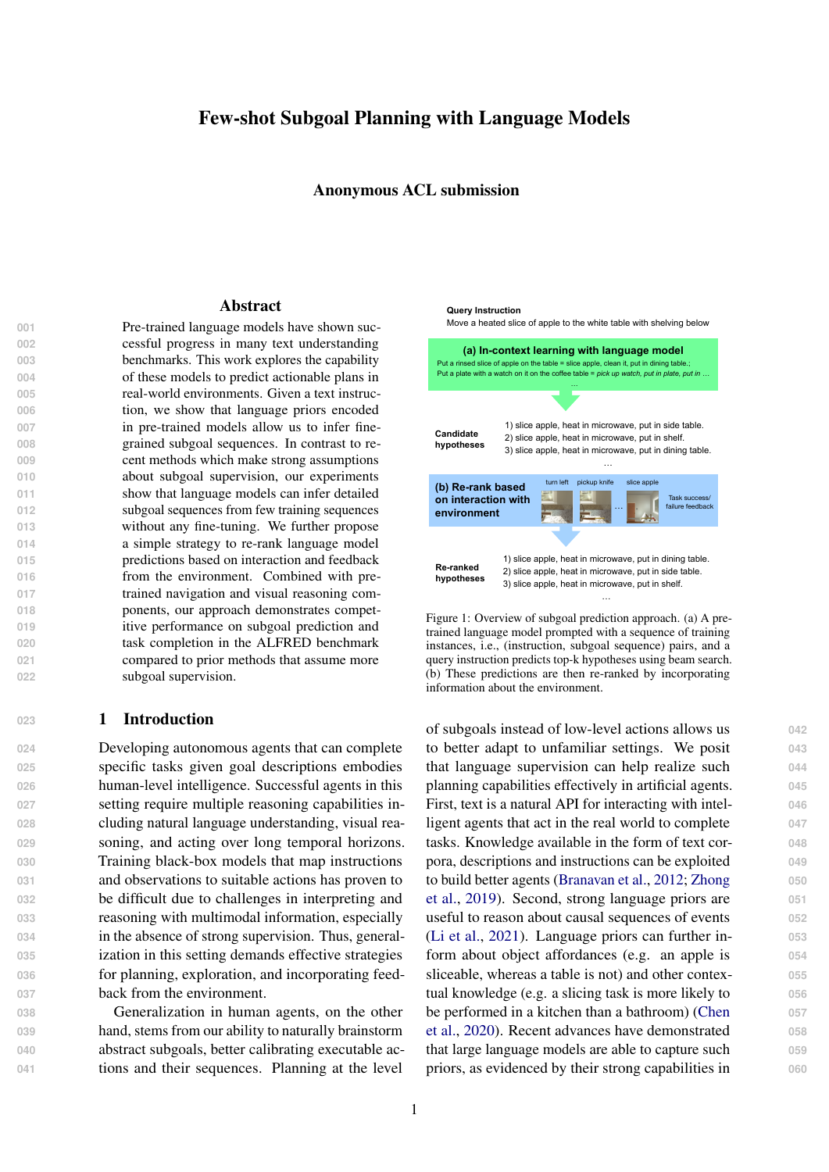Prediction errors We examine prediction errors **in identifying task type and object type. Key**  sources of model errors include annotation issues and ambiguity in object types. Table 4 shows the object types that have the least prediction accu- racy, along with the object categories the model is confused about. Annotations can fail to correctly **identify the target object - identifying autter knife as aknife or apepper shakeassalt shaker Am-**

|                                                                                                                         |                             | Success rate                 |  |  |
|-------------------------------------------------------------------------------------------------------------------------|-----------------------------|------------------------------|--|--|
| Model                                                                                                                   | Task                        | Goal-Cond                    |  |  |
| Seg2seg (Shridhar et al., 2020a)<br>MOCA (Singh et al., 2020)<br>FiLM (Min et al., 2021b)<br>HLSM (Blukis et al., 2021) | 3.7<br>19.2<br>24.6<br>29.6 | 10.0<br>28.5<br>37.2<br>38.8 |  |  |
| Predicted subgoals<br>HLSM<br>low-level<br>Re-ranked subgoals 23.9<br>policy<br>Oracle subgoals                         | 19.8<br>37.2                | 31.4<br>35.0<br>48.2         |  |  |

504 biguity can also arise from identifying an object Table 5: Task completion and goal condition success rates with different names, depending on the context ased on the ALFRED validation seen split (results are<br>
For the Alternation of the Context assed on task executions in the Alternation of the Alternation of the Alternation. 506 **For instance, depending on the scene layout, the rformance of our subgoal predictions combined with the** 507 argument for alook at object in lighttask can be 508 **a oor lamp or a desk lamp. Unless the type of redictions based on agent state. Oracle subgoals shows the** 509 **lamp is identi ed precisely in the instruction, it is performance upper bound.** 510 not possible to correctly predict the type of lamp, based on task executions in the AI2-Thor simulator). The HLSM low-level policy are shown at the bottom. We show the performance before and after re-ranking language model

511 So this task type has very low top-1 recall in Ta-rate, we also report the percentage of goal condi-<br>511 512 ble 1. Correctly identifying these objects requires tions satis-ed, which rewards the model for partial 545 513 feedback from interaction with the environment. task completions. The state of the state of the state state  $546$ 

514 The experiments so far evaluate the ability of a 515 language model to retrieve ground truth subgoa<sup>ph</sup> the ALFRED task. Seq2seq (Shridhar et al., 548 516 sequences. Next we examine embodied agents that 2020a) is a simple sequence-to-sequence baseline 549 517 make use of these predictions and collect more su<sup>trained</sup> to map text instructions to low-level ac-<br>550 518 **pervision in order to improve subgoal predictions. Ions. MOCA (Singh et al., 2020) improves on** 551 We compare against the following baselines  $547$ 

519 4.3 Agent policy and incorporating 520 environment feedback

Seq2seq using subgoal supervision and pre-trained 552 visual reasoning components. Recent work such 553 as HLSM (Blukis et al., 2021) and FiLM (Min 554 et al., 2021b) build and use spatial semantic state 555

 We now use subgoal predictions to construct an representations and achieve stronger performance 556 agent policy that acts in a simulated environment to complete tasks. The agent state representation (MOCA, HLSM, FiLM) that rely on full subgoal 558 and pre-trained low-level subgoal policy are bor- rowed from the HLSM model proposed in Blukis et al. (2021). HLSM models the agent state us-tional supervision collected using active interaction 561 ing a spatial persistent voxel representation of the with the environment. In addition, our approach 562 528 room where each voxel represents the category the object present in that position. The represen-only assumes that a subgoal execution policy is 564 tation is constructed using modules that estimate provided. 565 **Segmentation and depth maps and other visual rea**on the task. Note that, unlike these prior methods  $=$   $557$ supervision (20 $k$  instances), our approach is based  $559$ on a small amount of subgoal supervision and addi-<br>560 does not require task-level expert trajectories and 563

532 soning components and is updated as the agent  $\frac{532}{533}$  gathers new observations. We use pre-trained mode and the day information from the environ-<br> $\frac{533}{533}$  $534$  els made available by the auth $b$ to estimate agent 535 State and their pre-trained low-level policy in our to the secution feedback for 1000 text instructions 569<br>535 State and their pre-trained low-level policy in our to the seculiar manufal described in Occurs 0.0 536 experiments. Using the top language model prediction as is  $566$ 

 We combine subgoal predictions with the pre- trained HLSM low-level policy and evaluate the overall agent policy on the ALFRED task in Ta-**which were based on the static dataset, these re-**

 $540$  ble 5. Unlike the results reported in Section 4.2 comparison the HLSM model with full subgreated in 542 sults are based on subgoals executed against the vision has success rate 50%. All buyin our pre-<br>All They simulater. In addition to task success dictions fall short of HLSM, they are competitive 577 543 AI2-Thor simulator. In addition to task success with the other baselines with subgoal supervision. 578  $\sim$  ment leads to 20% success rate. Next, we collect  $\sim$ to train the ranking model described in Section 3.2. Re-ranking language model predictions using the 571 trained ranking model improves the performance to 24%, which shows the importance of incorpo-<br> comparison, the HLSM model with full subgoal su- $\overline{p}$ ervision has success rate 30%. Although our pre-

4 https://hlsm-alfred.github.io

**The performance upper bound estimated using or-** 579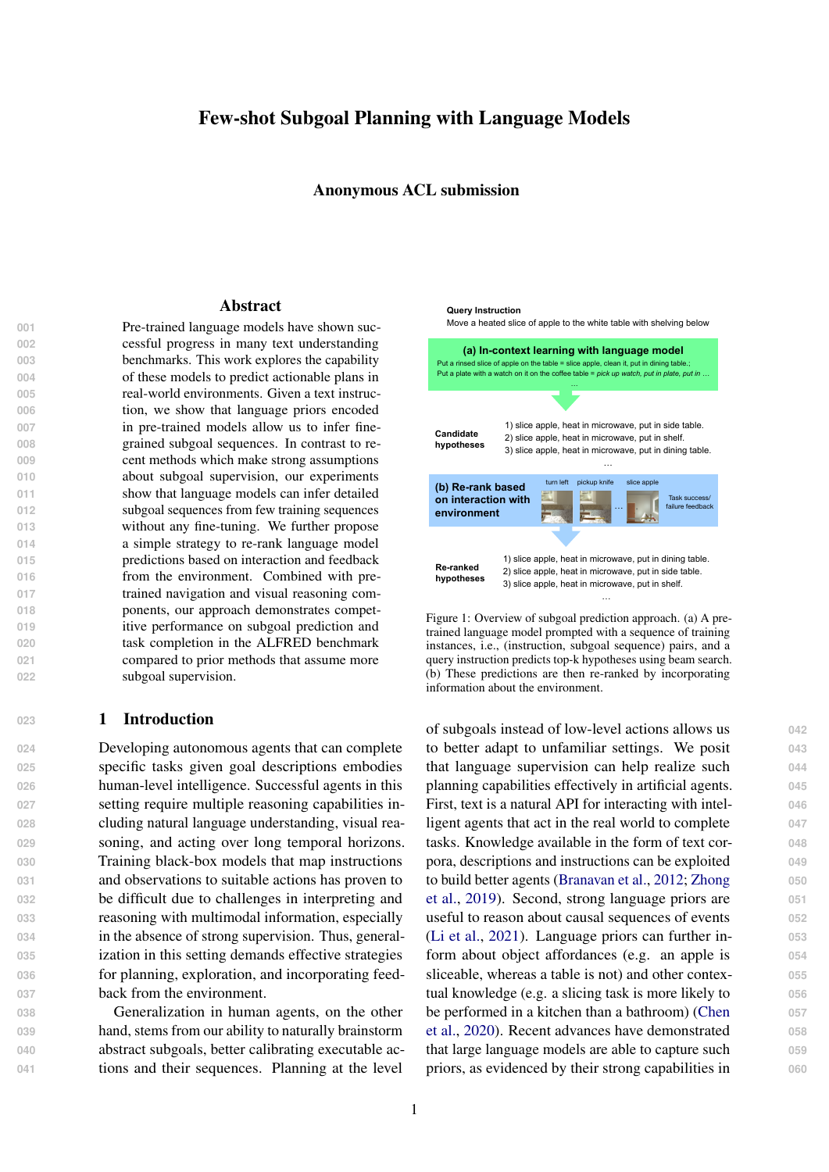acle subgoals is 37%, which shows the room for improvement over our predictions. These results show that accurate subgoal inference coupled with pre-trained low-level components leads to agents that perform well in embodied environments.

 Figure 1 shows an example where the ranking model uses environment information to identify better plans. In this example, the instruction am-**biguously speci es the receptacle as `white table** with shelving'. The language model's top two pre-

590 dictions for the target receptacle are sidetable and igure 3: Comparison between GPT-J with in-context learning 591 shelf, neither of which are present in the environ<sup>and a</sup> ne-tuned T5-large model for varying number of training 592 ment. The agent state captures this information and examples. See text for details.

 $593$  helps identify diningtable as the correct receptacle. the largest model we could ne-tune on our com-  $630$ 

#### <sup>594</sup> 5 Ablations

595 We perform a series of ablations to identify the head comparison between in-context learning and 632 596 **robustness of model predictions. We compare the strategies of model predictions. We compare the** 597 **performance of in-context learning to a sequence** ERRES TO SERVIDE STRING CONCORTINING TO A CONCORTING SUCH AS PROMPt tuning and head tuning (Min et al., 635<br>598 to-sequence model ne-tuned to translate instructional and the service and the state of the service of the  $\frac{339}{2021}$  tions to subgoal sequences. In addition, we observed a sequence of the time considered here. However,  $\frac{636}{2021}$ 600 **the effect of varying the number of training exam-**601 **ples and choice of training examples.** pute infrastructure). Note that this is not a head-to-<br>631 ge-tuning due to the difference in model size. Furthermore, there are other  $\,$  ne-tuning mechanisms  $\,$   $\,$  634  $\,$ the result suggests that in-context learning with  $637$ large pre-trained models can be favorable when 638 computational constraints do not allow full ne-<br>
639

- 602 Number of training examples Figure 3 shows 603 model recall for varying number of training extuning of large models. **640** 640
- 604 amples. For zero training examples, the prompt ing ability of large language models leads to pre- 642 605 consists of just the query instruction and the model dictions that are accurate, robust and stable in the 643 606 decodes subgoals. 40 is the maximum number of a small amount of training data. 644 607 examples for which the model prompt ts the se-
- 608 **quence length restriction (1024 tokens) of GPT6** 609 models. A steady increase in performance can be
- 610 initially observed when increasing the number of This work explores the use of pre-trained lan-611 training examples and the performance saturate uage models for planning in real-world tasks. We 647 612 towards the end. In-context learning further hashowed that language models have strong capabil-613 the limitation of not being able to accommodate<sup>ity</sup> to reason about subgoal sequences given a small 649  $614$  a larger number of training examples due to the umber of training examples. We further demon-615 length restriction. It would be interesting to ex-strated some simple mechanisms to incorporate 651 616 **plore how to make more effective use of larger feedback from interaction with the environment** 652 617 **number of training examples in future work.** and show that this leads to more usable predictions. 653 **Finally, we show that combining subgoal predic-** 654
- 618 **Choice of training examples We also estimate**  $619$  performance variance by varying the random seegtrong baseline for embodied agent learning. Our  $656$ 620 for choosing examples randomly from the training<sub>ablations</sub> demonstrate that in-context learning with 657  $621$  set and compute standard deviation based on  $\overline{v}$  small amount of subgoal demonstrations has ro-622 random seeds for each setting. The plot shows that ust generaliztion properties. It also has the limita-<br>659 623 top-1 predictions from in-context learning have tion of not being able to incorporate a large num-624 **lower variance compared to ne-tuning.** 625 **Comparison with ne-tuning** ne-tuning In order to under- length restriction. It would further be bene cial to  $662$ 626 stand how well the in-context learning approachperform end-to-end learning with language model 663 627 compares to ne-tuned models, we ne-tune a T5-based subgoal prediction and low-level policy, and 664 628 **large model (Raffel et al., 2019) with 770M param-these can be interesting avenues to explore in future 665** 629 eters on varying amounts of training data (this was work. tions with a pre-trained low-level policy yields a 655 ber of training examples due to the xed context 661  ${\bf work.}$



**Conclusion 645** 

These ablations show that the in-context learn-<br>641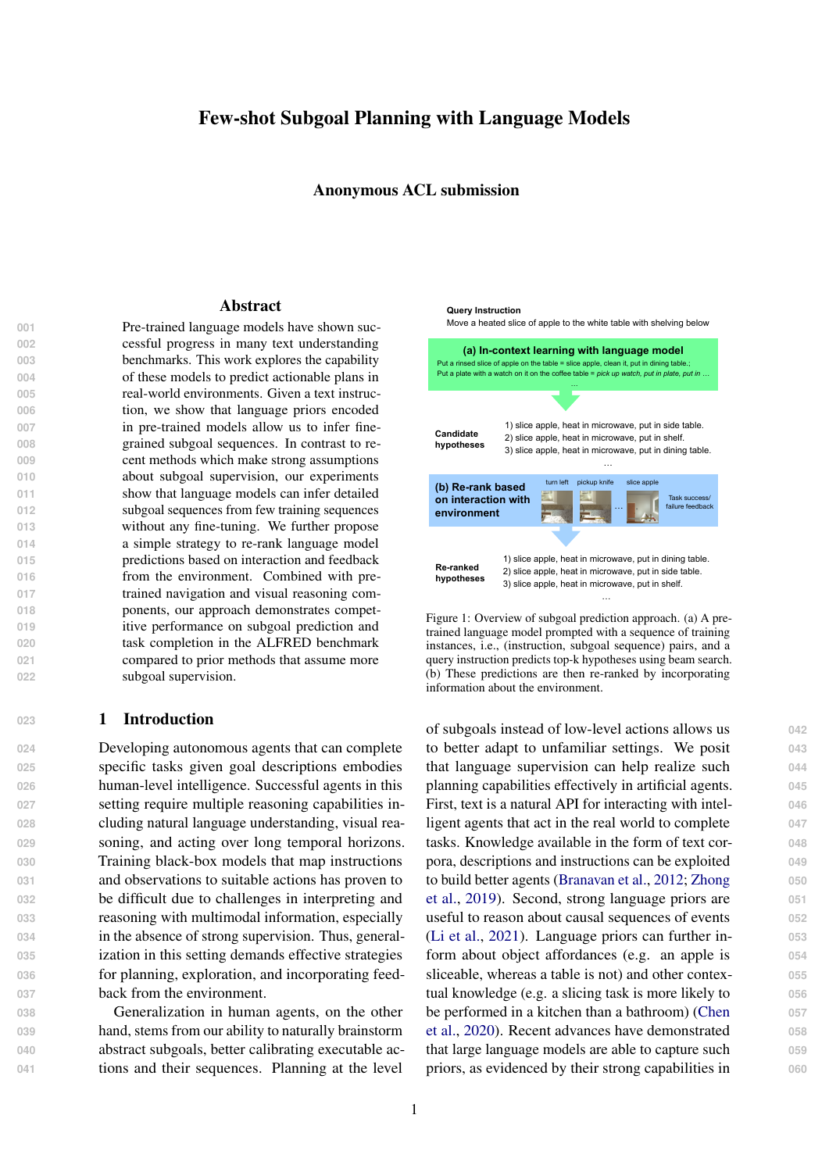#### **<sup>667</sup>** References

- **668** Valts Blukis, Chris Paxton, Dieter Fox, Animesh Garg, **669** and Yoav Artzi. 2021. A persistent spatial semantic **670** representation for high-level natural language instruc-**671** tion execution. *arXiv preprint arXiv:2107.05612*.
- **672** Rishi Bommasani, Drew A Hudson, Ehsan Adeli, **673** Russ Altman, Simran Arora, Sydney von Arx, **674** Michael S Bernstein, Jeannette Bohg, Antoine Bosse-**675** lut, Emma Brunskill, et al. 2021. On the opportuni-**676** ties and risks of foundation models. *arXiv preprint* **677** *arXiv:2108.07258*.
- **678** SRK Branavan, David Silver, and Regina Barzilay. 2012. **679** Learning to win by reading manuals in a monte-carlo **680** framework. *Journal of Artificial Intelligence Re-***681** *search*, 43:661–704.
- **682** Tom B Brown, Benjamin Mann, Nick Ryder, Melanie **683** Subbiah, Jared Kaplan, Prafulla Dhariwal, Arvind **684** Neelakantan, Pranav Shyam, Girish Sastry, Amanda **685** Askell, et al. 2020. Language models are few-shot **686** learners. *arXiv preprint arXiv:2005.14165*.
- **687** Haonan Chen, Hao Tan, Alan Kuntz, Mohit Bansal, **688** and Ron Alterovitz. 2020. Enabling robots to un-**689** derstand incomplete natural language instructions **690** using commonsense reasoning. In *2020 IEEE In-***691** *ternational Conference on Robotics and Automation* **692** *(ICRA)*, pages 1963–1969. IEEE.
- **693** Rodolfo Corona, Daniel Fried, Coline Devin, Dan Klein, **694** and Trevor Darrell. 2020. Modular networks for **695** compositional instruction following. *arXiv preprint* **696** *arXiv:2010.12764*.
- **697** Jacob Devlin, Ming-Wei Chang, Kenton Lee, and **698** Kristina Toutanova. 2018. Bert: Pre-training of deep **699** bidirectional transformers for language understand-**700** ing. *arXiv preprint arXiv:1810.04805*.
- **701** Catherine Finegan-Dollak, Jonathan K Kummerfeld, **702** Li Zhang, Karthik Ramanathan, Sesh Sadasivam, **703** Rui Zhang, and Dragomir Radev. 2018. Improving **704** text-to-sql evaluation methodology. *arXiv preprint* **705** *arXiv:1806.09029*.
- **706** Daniel Fried, Jacob Andreas, and Dan Klein. 2017. Uni-**707** fied pragmatic models for generating and following **708** instructions. *arXiv preprint arXiv:1711.04987*.
- **709** Daniel Furrer, Marc van Zee, Nathan Scales, and **710** Nathanael Schärli. 2020. Compositional generaliza-**711** tion in semantic parsing: Pre-training vs. specialized **712** architectures. *arXiv preprint arXiv:2007.08970*.
- **713** Matthew Hausknecht, Prithviraj Ammanabrolu, Marc-**714** Alexandre Côté, and Xingdi Yuan. 2020. Interactive **715** fiction games: A colossal adventure. In *Proceedings* **716** *of the AAAI Conference on Artificial Intelligence*, **717** volume 34, pages 7903–7910.
- **718** Jonathan Herzig, Peter Shaw, Ming-Wei Chang, Kelvin **719** Guu, Panupong Pasupat, and Yuan Zhang. 2021. Un-**720** locking compositional generalization in pre-trained

models using intermediate representations. *arXiv* 721 *preprint arXiv:2104.07478*. **722**

- Peter A Jansen. 2020. Visually-grounded planning **723** without vision: Language models infer detailed  $724$ plans from high-level instructions. *arXiv preprint* **725** *arXiv:2009.14259*. **726**
- Eric Kolve, Roozbeh Mottaghi, Winson Han, Eli Van- **727** derBilt, Luca Weihs, Alvaro Herrasti, Daniel Gordon, **728** Yuke Zhu, Abhinav Gupta, and Ali Farhadi. 2017. **729** Ai2-thor: An interactive 3d environment for visual ai. **730** *arXiv preprint arXiv:1712.05474*. **731**
- Brenden Lake and Marco Baroni. 2018. Generalization **732** without systematicity: On the compositional skills  $\frac{733}{ }$ of sequence-to-sequence recurrent networks. In *In-* **734** *ternational conference on machine learning*, pages **735** 2873–2882. PMLR. **736**
- Belinda Z Li, Maxwell Nye, and Jacob Andreas. 2021. **737** Implicit representations of meaning in neural lan- **738** guage models. *arXiv preprint arXiv:2106.00737*. **739**
- Jiwei Li, Michel Galley, Chris Brockett, Jianfeng Gao, **740** and Bill Dolan. 2015. A diversity-promoting objec- **741** tive function for neural conversation models. *arXiv* **742** *preprint arXiv:1510.03055*. **743**
- Jiwei Li and Dan Jurafsky. 2016. Mutual information **744** and diverse decoding improve neural machine trans- **745** lation. *arXiv preprint arXiv:1601.00372*. **746**
- Xiang Lisa Li and Percy Liang. 2021. Prefix-tuning: **747** Optimizing continuous prompts for generation. *arXiv* **748** *preprint arXiv:2101.00190*. **749**
- Jelena Luketina, Nantas Nardelli, Gregory Farquhar, **750** Jakob Foerster, Jacob Andreas, Edward Grefenstette, **751** Shimon Whiteson, and Tim Rocktäschel. 2019. A **752** survey of reinforcement learning informed by natural **753** language. *arXiv preprint arXiv:1906.03926*. **754**
- Hongyuan Mei, Mohit Bansal, and Matthew R Walter. **755** 2016. Listen, attend, and walk: Neural mapping **756** of navigational instructions to action sequences. In **757** *Thirtieth AAAI Conference on Artificial Intelligence*. **758**
- Vincent Micheli and François Fleuret. 2021. Lan- **759** guage models are few-shot butlers. *arXiv preprint* **760** *arXiv:2104.07972*. **761**
- Sewon Min, Mike Lewis, Hannaneh Hajishirzi, and **762** Luke Zettlemoyer. 2021a. Noisy channel language **763** model prompting for few-shot text classification. **764** *arXiv preprint arXiv:2108.04106*. **765**
- So Yeon Min, Devendra Singh Chaplot, Pradeep Raviku- **766** mar, Yonatan Bisk, and Ruslan Salakhutdinov. 2021b. **767** Film: Following instructions in language with modu- **768** lar methods. *arXiv preprint arXiv:2110.07342*. **769**
- <span id="page-8-0"></span>Alec Radford, Jeffrey Wu, Rewon Child, David Luan, **770** Dario Amodei, Ilya Sutskever, et al. 2019. Language **771** models are unsupervised multitask learners. *OpenAI* **772** *blog*, 1(8):9. **773**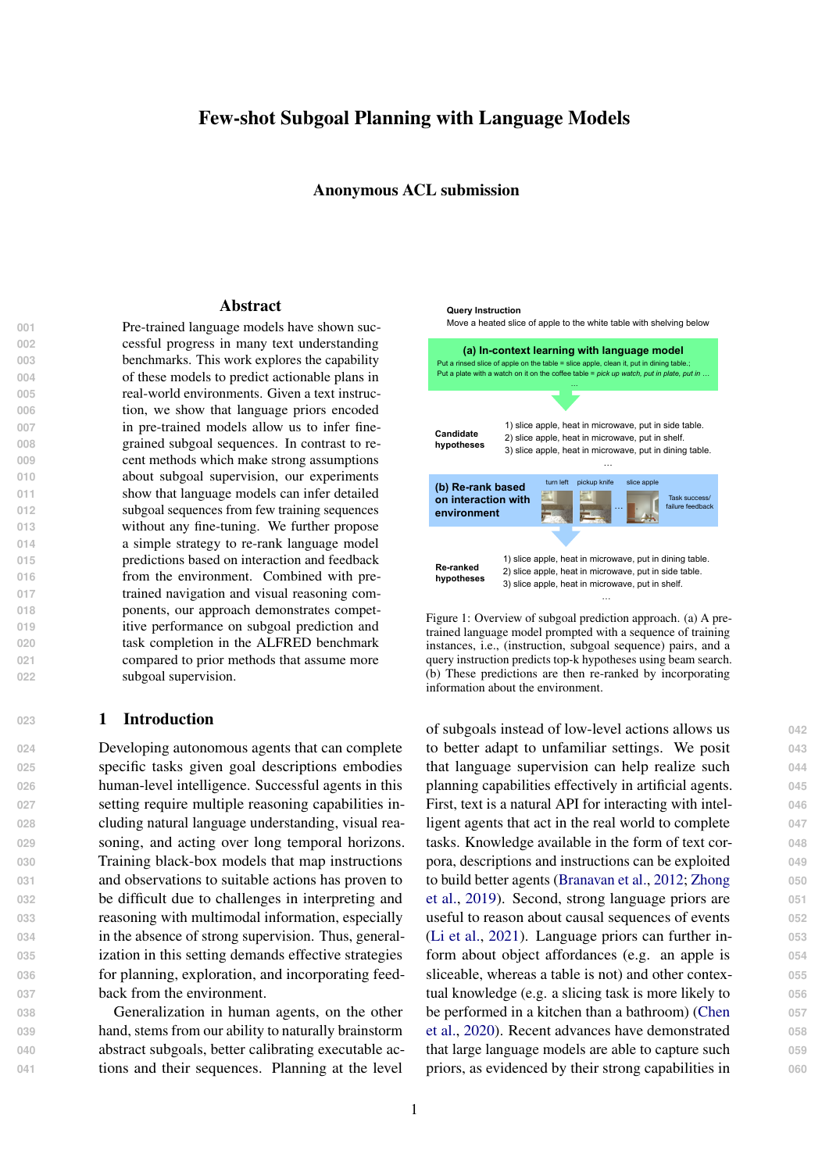- Colin Raffel, Noam Shazeer, Adam Roberts, Katherine Lee, Sharan Narang, Michael Matena, Yanqi Zhou, Wei Li, and Peter J Liu. 2019. Exploring the limits former. *arXiv preprint arXiv:1910.10683*. Timo Schick and Hinrich Schütze. 2020. It's not just size that matters: Small language models are also few-shot learners. *arXiv preprint arXiv:2009.07118*. Richard Shin, Christopher H Lin, Sam Thomson, Charles Chen, Subhro Roy, Emmanouil Antonios Platanios, Adam Pauls, Dan Klein, Jason Eisner,
- 
- 
- 
- 
- 
- 
- 
- 
- 
- -

- 
- 

<span id="page-9-7"></span><span id="page-9-3"></span>

 and Benjamin Van Durme. 2021. Constrained lan- guage models yield few-shot semantic parsers. *arXiv preprint arXiv:2104.08768*.

<span id="page-9-4"></span>of transfer learning with a unified text-to-text trans-

- <span id="page-9-6"></span> Mohit Shridhar, Jesse Thomason, Daniel Gordon, Yonatan Bisk, Winson Han, Roozbeh Mottaghi, Luke Zettlemoyer, and Dieter Fox. 2020a. Alfred: A benchmark for interpreting grounded instructions for everyday tasks. In *Proceedings of the IEEE/CVF con-ference on computer vision and pattern recognition*,
- pages 10740–10749. Mohit Shridhar, Xingdi Yuan, Marc-Alexandre Côté, Yonatan Bisk, Adam Trischler, and Matthew Hausknecht. 2020b. Alfworld: Aligning text and em-
- bodied environments for interactive learning. *arXiv preprint arXiv:2010.03768*.
- Kunal Pratap Singh, Suvaansh Bhambri, Byeonghwi Kim, Roozbeh Mottaghi, and Jonghyun Choi. 2020. Moca: A modular object-centric approach for in- teractive instruction following. *arXiv preprint arXiv:2012.03208*.
- <span id="page-9-8"></span> Alessandro Suglia, Qiaozi Gao, Jesse Thomason, Govind Thattai, and Gaurav Sukhatme. 2021. Em- bodied bert: A transformer model for embodied, language-guided visual task completion. *arXiv preprint arXiv:2108.04927*.
- <span id="page-9-5"></span> Alane Suhr, Claudia Yan, Jacob Schluger, Stanley Yu, Hadi Khader, Marwa Mouallem, Iris Zhang, and Yoav Artzi. 2019. Executing instructions in situated collaborative interactions. *arXiv preprint arXiv:1910.03655*.
- Ben Wang and Aran Komatsuzaki. 2021. GPT- J-6B: A 6 Billion Parameter Autoregressive Language Model. [https://github.com/](https://github.com/kingoflolz/mesh-transformer-jax) [kingoflolz/mesh-transformer-jax](https://github.com/kingoflolz/mesh-transformer-jax).
- Thomas Wolf, Lysandre Debut, Victor Sanh, Julien Chaumond, Clement Delangue, Anthony Moi, Pier- ric Cistac, Tim Rault, Rémi Louf, Morgan Funtowicz, Joe Davison, Sam Shleifer, Patrick von Platen, Clara Ma, Yacine Jernite, Julien Plu, Canwen Xu, Teven Le Scao, Sylvain Gugger, Mariama Drame, Quentin Lhoest, and Alexander M. Rush. 2020. [Transform-](https://www.aclweb.org/anthology/2020.emnlp-demos.6) [ers: State-of-the-art natural language processing.](https://www.aclweb.org/anthology/2020.emnlp-demos.6) In *Proceedings of the 2020 Conference on Empirical Methods in Natural Language Processing: System Demonstrations*, pages 38–45, Online. Association for Computational Linguistics.
- <span id="page-9-1"></span>Shunyu Yao, Rohan Rao, Matthew Hausknecht, and **831** Karthik Narasimhan. 2020. Keep calm and explore: **832** Language models for action generation in text-based **833** games. *arXiv preprint arXiv:2010.02903*. **834**
- <span id="page-9-9"></span>Yichi Zhang and Joyce Chai. 2021. Hierarchical task 835 learning from language instructions with unified **836** transformers and self-monitoring. *arXiv preprint* **837** *arXiv:2106.03427*. **838**
- <span id="page-9-2"></span>Tony Z Zhao, Eric Wallace, Shi Feng, Dan Klein, and **839** Sameer Singh. 2021. Calibrate before use: Improv- **840** ing few-shot performance of language models. *arXiv* **841** *preprint arXiv:2102.09690*. **842**
- <span id="page-9-0"></span>Victor Zhong, Tim Rocktäschel, and Edward Grefen- **843** stette. 2019. Rtfm: Generalising to novel envi-<br>844 ronment dynamics via reading. *arXiv preprint* **845** *arXiv:1910.08210*. **846**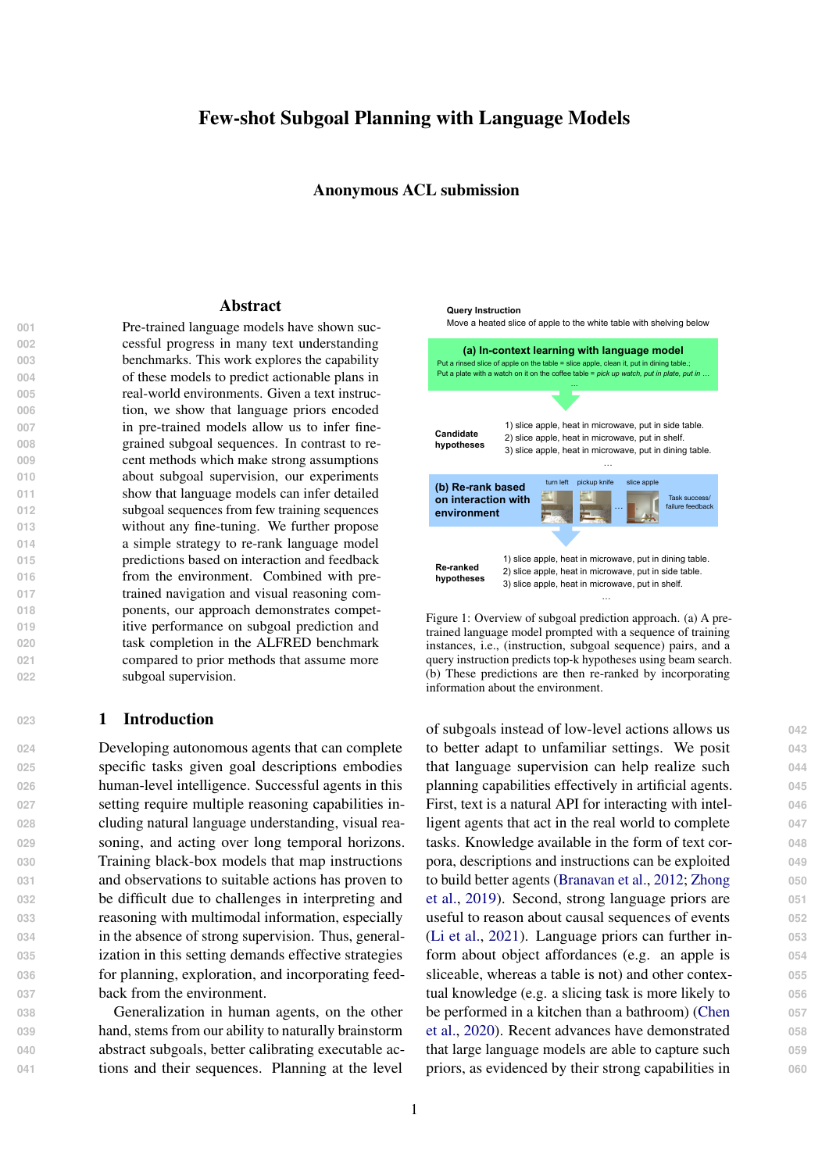#### 847 **A** Mutual Information based scoring

 Mutual Information between random variables  $X: Y$  is defined as in Equation [\(2\)](#page-10-0). We consider a weighted Mutual Information metric as defined as in Equation [\(3\)](#page-10-1) similar to Li and Jurafsky (2016) and introduce the hyperparameter . Identifying Y that maximizes the weighted Mutual Information is equivalent to maximizing the expression in Equa- tion [\(4\)](#page-10-2). We use this metric to rank hypotheses generated by the language model.

$$
MI(X;Y) = \log \frac{p(x; y)}{p(x)p(y)} \tag{2}
$$

$$
WMI(X;Y) = \log \frac{p(x;y)}{p(x)p(y)} \tag{3}
$$

| 859 | argmax wMI(X; Y)                        |                              |                  |
|-----|-----------------------------------------|------------------------------|------------------|
| 860 | = argmax log $\frac{p(x; y)}{p(x)p(y)}$ |                              |                  |
| 861 | = argmax log $\frac{p(x; y)}{p(x)}$     | $\frac{p(x; y)}{p(y)}$       | $\frac{1}{p(x)}$ |
| 862 | = argmax(1)                             | )log $p(y/x)$ + log $p(x/y)$ |                  |
| 863 | log $p(x)$                              |                              |                  |
| 864 | = argmax(1)                             | )log $p(y/x)$ + log $p(x/y)$ |                  |
| 864 | = argmax(1)                             | )log $p(y/x)$ + log $p(x/y)$ |                  |
| 4)  |                                         |                              |                  |

#### **<sup>865</sup>** B Subgoal representation

**866** Table [6](#page-10-3) shows the subgoal representation we use in this work.

<span id="page-10-3"></span>

| Subgoal       | Representation    |
|---------------|-------------------|
| (Pickup, X)   | pick up X         |
| (Put, X)      | put in X          |
| (Heat, X)     | heat in X         |
| (Cool, X)     | cool in X         |
| (Clean, X)    | clean in X        |
| (Slice, X)    | slice X           |
| (ToggleOn, X) | turn on ${\rm X}$ |

Table 6: Subgoals and corresponding text representation. X represents an object argument.

#### C Ranking model: Architecture **<sup>868</sup>**

State embedding HLSM represents the agent **869** state as a semantic voxel representation  $\mathcal{S}$  2 870  $[0, 1]^{X \ Y \ Z \ C}$  where the value  $S(X, Y, Z, C)$  rep- 871 resents if there is an object of type c at position **872**  $(x, y, z)$  of the room layout. The agent state is encoded into a vector  $f<sup>state</sup>(s)$  using a linear mapping. 874 We use this encoding as the state embedding. 875

Instruction and subgoal sequence encoding **876** The instruction and a candidate subgoal sequence 877 g are jointly processed using a BERT encoder and **878** the CLS representation is used as a representation **879** vector  $BERT_{CLS}$  (*; g*). 880

<span id="page-10-1"></span><span id="page-10-0"></span>The ranking model is rep- **881** resented as  $f(q; ; s; )$  = 882  ${}^{7}$ concat( $f^{\text{state}}(s)$ ; BERT<sub>CLS</sub>(; g)) where 883

is a parameter vector. When training the ranking 884 model the state embedding and BERT encoders **885** are held fixed and only the linear transformation **886** is trained. **887**

### D Ranking Model: Training and **<sup>888</sup> Inference** 889

<span id="page-10-2"></span>Formally, the learning problem is a MDP **890**  $(S, G, L, R, T)$ , where  $S_t$  2 S is the agent state, 891  $g^{(t)}$  2 G is a subgoal, 2 L is a text instruc- 892 tion,  $R(\cdot; s_t)$  is a reward function that provides 893 success/failure feedback for completing a given 894 instruction,  $T : (s_t; g^{(t)})$  /  $s_{t+1}$  is a state transition function where  $S_{t+1}$  is computed by a lowlevel policy  $\angle$  pre-trained to execute a given sub- 897 goal g. Our goal is to train a high-level policy **898**  $H(g^{(t)}j \; ; s_t; g^{( where  $s_t$  is the agent state and 899$  $g^{(*t*)}$  is the sequence of subgoals completed so far **900** at high-level time-step t. 901

Algorithm [1](#page-11-0) describes how we collect training **902** data to train the ranking model. Algorithm [2](#page-11-1) shows **903** how the ranking model is used during inference. **904**